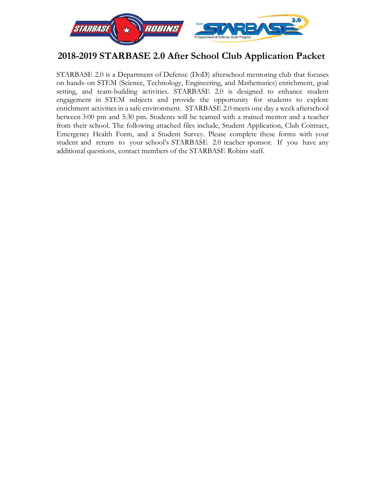

### **2018-2019 STARBASE 2.0 After School Club Application Packet**

STARBASE 2.0 is a Department of Defense (DoD) afterschool mentoring club that focuses on hands-on STEM (Science, Technology, Engineering, and Mathematics) enrichment, goal setting, and team-building activities. STARBASE 2.0 is designed to enhance student engagement in STEM subjects and provide the opportunity for students to explore enrichment activities in a safe environment. STARBASE 2.0 meets one day a week afterschool between 3:00 pm and 5:30 pm. Students will be teamed with a trained mentor and a teacher from their school. The following attached files include, Student Application, Club Contract, Emergency Health Form, and a Student Survey. Please complete these forms with your student and return to your school's STARBASE 2.0 teacher sponsor. If you have any additional questions, contact members of the STARBASE Robins staff.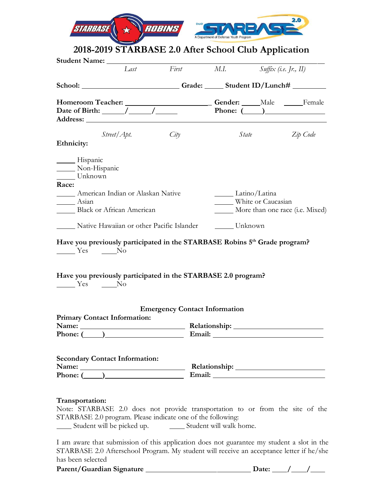| $\overline{c}$ | 2.0<br><b>DoD</b><br>A Department of Defense Youth Program |
|----------------|------------------------------------------------------------|
|----------------|------------------------------------------------------------|

## **2018-2019 STARBASE 2.0 After School Club Application**

|                                                                                                                                                                                                                                                                                                                  |      | Last First M.I.                      |                                     | $S$ uffix (i.e. Jr., II)        |
|------------------------------------------------------------------------------------------------------------------------------------------------------------------------------------------------------------------------------------------------------------------------------------------------------------------|------|--------------------------------------|-------------------------------------|---------------------------------|
| School: ____________________________Grade: _______ Student ID/Lunch# ___________                                                                                                                                                                                                                                 |      |                                      |                                     |                                 |
| Date of Birth: $\frac{\sqrt{2}}{2}$                                                                                                                                                                                                                                                                              |      |                                      |                                     | Phone: $(\_\_)$                 |
| Street/Apt.<br>Ethnicity:                                                                                                                                                                                                                                                                                        | City |                                      | State                               | Zip Code                        |
| Hispanic<br>Non-Hispanic<br>Unknown                                                                                                                                                                                                                                                                              |      |                                      |                                     |                                 |
| Race:<br><b>Example 3</b> American Indian or Alaskan Native<br>Asian<br>Black or African American                                                                                                                                                                                                                |      |                                      | Latino/Latina<br>White or Caucasian | More than one race (i.e. Mixed) |
| Native Hawaiian or other Pacific Islander _______ Unknown                                                                                                                                                                                                                                                        |      |                                      |                                     |                                 |
| Have you previously participated in the STARBASE Robins 5th Grade program?<br>$\frac{1}{\sqrt{1-\frac{1}{c}}}\n$ Yes $\frac{1}{\sqrt{1-\frac{1}{c}}}\n$ No<br>Have you previously participated in the STARBASE 2.0 program?<br>$\frac{1}{\sqrt{1-\frac{1}{c}}}\gamma$ Yes $\frac{1}{\sqrt{1-\frac{1}{c}}}\gamma$ |      |                                      |                                     |                                 |
| <b>Primary Contact Information:</b>                                                                                                                                                                                                                                                                              |      | <b>Emergency Contact Information</b> |                                     |                                 |
| Phone: $($                                                                                                                                                                                                                                                                                                       |      | Email:                               |                                     |                                 |
| <b>Secondary Contact Information:</b><br>Name: <u>University</u>                                                                                                                                                                                                                                                 |      |                                      |                                     |                                 |
| Transportation:<br>Note: STARBASE 2.0 does not provide transportation to or from the site of the<br>STARBASE 2.0 program. Please indicate one of the following:<br>______ Student will be picked up. _________ Student will walk home.                                                                           |      |                                      |                                     |                                 |

I am aware that submission of this application does not guarantee my student a slot in the STARBASE 2.0 Afterschool Program. My student will receive an acceptance letter if he/she has been selected

**Parent/Guardian Signature Date: / /**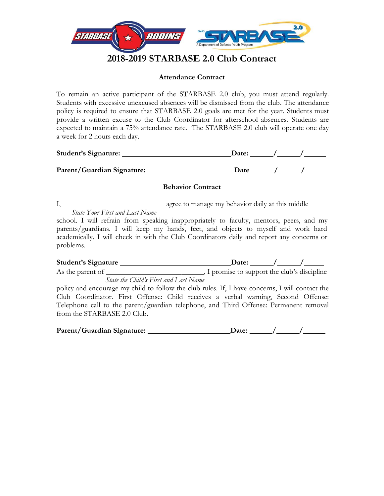

#### **Attendance Contract**

To remain an active participant of the STARBASE 2.0 club, you must attend regularly. Students with excessive unexcused absences will be dismissed from the club. The attendance policy is required to ensure that STARBASE 2.0 goals are met for the year. Students must provide a written excuse to the Club Coordinator for afterschool absences. Students are expected to maintain a 75% attendance rate. The STARBASE 2.0 club will operate one day a week for 2 hours each day.

| <b>Student's Signature:</b> | Date:       |  |
|-----------------------------|-------------|--|
| Parent/Guardian Signature:  | <b>Date</b> |  |

#### **Behavior Contract**

I, agree to manage my behavior daily at this middle *State Your First and Last Name*

school. I will refrain from speaking inappropriately to faculty, mentors, peers, and my parents/guardians. I will keep my hands, feet, and objects to myself and work hard academically. I will check in with the Club Coordinators daily and report any concerns or problems.

**Student's Signature Date: / /** As the parent of , I promise to support the club's discipline *State the Child's First and Last Name*

policy and encourage my child to follow the club rules. If, I have concerns, I will contact the Club Coordinator. First Offense: Child receives a verbal warning, Second Offense: Telephone call to the parent/guardian telephone, and Third Offense: Permanent removal from the STARBASE 2.0 Club.

| Parent/Guardian Signature: | <b>Jate:</b> |  |  |
|----------------------------|--------------|--|--|
|----------------------------|--------------|--|--|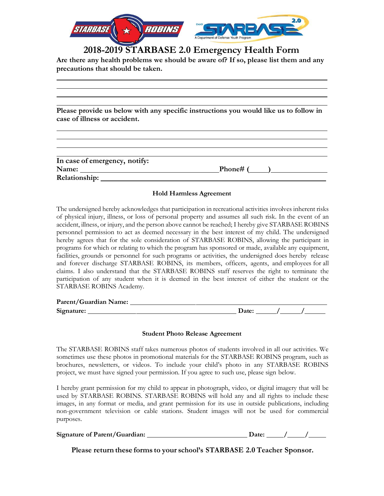

### **2018-2019 STARBASE 2.0 Emergency Health Form**

**Are there any health problems we should be aware of? If so, please list them and any precautions that should be taken.**

**Please provide us below with any specific instructions you would like us to follow in case of illness or accident.**

| In case of emergency, notify: |            |
|-------------------------------|------------|
| Name:                         | _Phone# (_ |
| Relationship:                 |            |

#### **Hold Harmless Agreement**

The undersigned hereby acknowledges that participation in recreational activities involves inherent risks of physical injury, illness, or loss of personal property and assumes all such risk. In the event of an accident, illness, or injury, and the person above cannot be reached; I hereby give STARBASE ROBINS personnel permission to act as deemed necessary in the best interest of my child. The undersigned hereby agrees that for the sole consideration of STARBASE ROBINS, allowing the participant in programs for which or relating to which the program has sponsored or made, available any equipment, facilities, grounds or personnel for such programs or activities, the undersigned does hereby release and forever discharge STARBASE ROBINS, its members, officers, agents, and employees for all claims. I also understand that the STARBASE ROBINS staff reserves the right to terminate the participation of any student when it is deemed in the best interest of either the student or the STARBASE ROBINS Academy.

| Parent/Guardian Name: |  |
|-----------------------|--|
| Signature:            |  |

#### **Student Photo Release Agreement**

The STARBASE ROBINS staff takes numerous photos of students involved in all our activities. We sometimes use these photos in promotional materials for the STARBASE ROBINS program, such as brochures, newsletters, or videos. To include your child's photo in any STARBASE ROBINS project, we must have signed your permission. If you agree to such use, please sign below.

I hereby grant permission for my child to appear in photograph, video, or digital imagery that will be used by STARBASE ROBINS. STARBASE ROBINS will hold any and all rights to include these images, in any format or media, and grant permission for its use in outside publications, including non-government television or cable stations. Student images will not be used for commercial purposes.

| Signature of Parent/Guardian: | Jate: |  |  |
|-------------------------------|-------|--|--|
|                               |       |  |  |

**Please return these forms to your school's STARBASE 2.0 Teacher Sponsor.**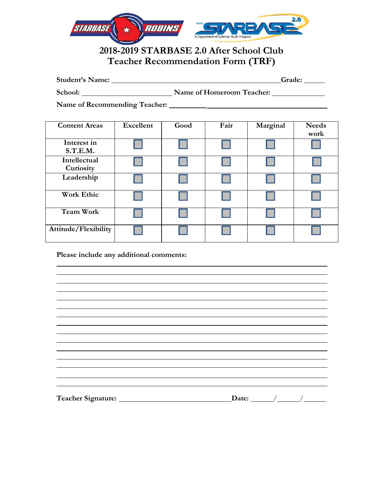

### **2018-2019 STARBASE 2.0 After School Club Teacher Recommendation Form (TRF)**

| <b>Student's Name:</b> | Grade: |  |
|------------------------|--------|--|
|                        |        |  |

School: Name of Homeroom Teacher:

**Name of Recommending Teacher:**

| <b>Content Areas</b>      | <b>Excellent</b> | Good | Fair | Marginal | <b>Needs</b><br>work |
|---------------------------|------------------|------|------|----------|----------------------|
| Interest in<br>S.T.E.M.   |                  |      |      |          |                      |
| Intellectual<br>Curiosity |                  |      |      |          |                      |
| Leadership                |                  |      |      |          |                      |
| <b>Work Ethic</b>         |                  |      |      |          |                      |
| <b>Team Work</b>          |                  |      |      |          |                      |
| Attitude/Flexibility      |                  |      |      |          |                      |

#### **Please include any additional comments:**

|  | Date: $\_\_\_\_\_\_\_\_\_\_\_\_\_\$ |  |
|--|-------------------------------------|--|